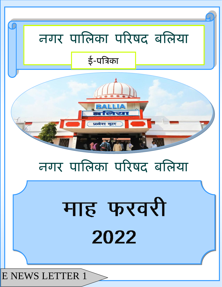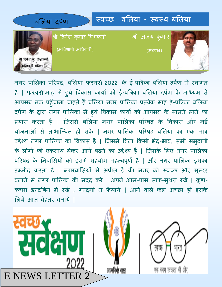

नगर पालिका परिषद, बलिया फरवरो 2022 के ई-पत्रिका बलिया दर्पण में स्वागत है | फरवरों माह में हुये विकास कार्यों को ई-पत्रिका बलिया दर्पण के माध्यम से आपसब तक पहुंचाना चाहते है बलिया नगर पालिका प्रत्येक माह ई-पत्रिका बलिया दर्पण के द्वारा नगर पालिका में हुये विकास कार्यों को आपसब के सामने लाने का प्रयास करता है | जिससे बलिया नगर पालिका परिषद के विकास और नई योजनाओं से लाभान्वित हो सके | नगर पालिका परिषद बलिया का एक मात्र उद्देश्य नगर पालिका का विकास है | जिसमे बिना किसी भेद-भाव, सभी समुदायों के लोगो को एकसाथ लेकर आगे बढने का उद्देश्य है | जिसके लिए नगर पालिका परिषद के निवासियों को इसमें सहयोग महत्वपूर्ण है | और नगर पालिका इसका उम्मीद करता है | नगरवासियों से अपील है की नगर को स्वच्छ और सुन्दर बनाने में नगर पालिका की मदद करे | अपने आस-पास साफ-सुथरा रखे | कूड़ा-कचरा डस्टबिन में रखे , गन्दगी न फैलाये | आने वाले कल अच्छा हो इसके लऱये आज बेहतर बनायें |

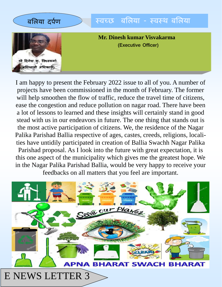

I am happy to present the February 2022 issue to all of you. A number of projects have been commissioned in the month of February. The former will help smoothen the flow of traffic, reduce the travel time of citizens, ease the congestion and reduce pollution on nagar road. There have been a lot of lessons to learned and these insights will certainly stand in good stead with us in our endeavors in future. The one thing that stands out is the most active participation of citizens. We, the residence of the Nagar Palika Parishad Ballia respective of ages, castes, creeds, religions, localities have untidily participated in creation of Ballia Swachh Nagar Palika Parishad proposal. As I look into the future with great expectation, it is this one aspect of the municipality which gives me the greatest hope. We in the Nagar Palika Parishad Ballia, would be very happy to receive your feedbacks on all matters that you feel are important.

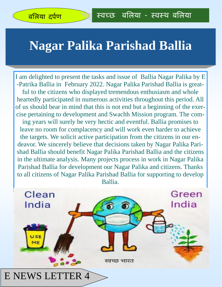### **Nagar Palika Parishad Ballia**

I am delighted to present the tasks and issue of Ballia Nagar Palika by E -Patrika Ballia in February 2022. Nagar Palika Parishad Ballia is greatful to the citizens who displayed tremendous enthusiasm and whole heartedly participated in numerous activities throughout this period. All of us should bear in mind that this is not end but a beginning of the exercise pertaining to development and Swachh Mission program. The coming years will surely be very hectic and eventful. Ballia promises to leave no room for complacency and will work even harder to achieve the targets. We solicit active participation from the citizens in our endeavor. We sincerely believe that decisions taken by Nagar Palika Parishad Ballia should benefit Nagar Palika Parishad Ballia and the citizens in the ultimate analysis. Many projects process in work in Nagar Palika Parishad Ballia for development our Nagar Palika and citizens. Thanks to all citizens of Nagar Palika Parishad Ballia for supporting to develop Ballia.

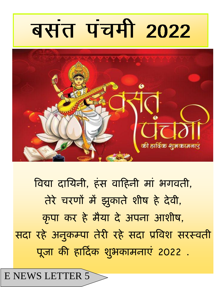### E NEWS LETTER 5

<u>विद्या दायिनी, हंस वाहिनी मां भगवती,</u> **तेये चयणों भें झुकाते शीष हे देवी, कृ ऩा कय हे भैमा दे अऩना आशीष, सदा यहे अनुकम्ऩा तेयी यहे सदा प्रत्रवश सयस्वती**  पूजा की हार्दिक शुभकामनाएं 2022 .



# बसंत पंचमी 2022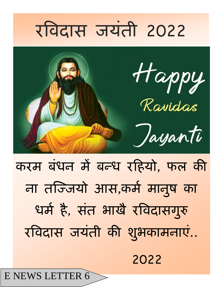### E NEWS LETTER 6

**2022**

करम बंधन में बन्ध रहियो, फल की **ना तज्जजमो आस,कभप भानुष का**  धर्म है, संत भाखै रविदासगुरु रविदास जयंती की शुभकामनाएं..



## **यत्रवदास जमॊती 2022**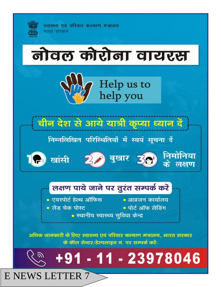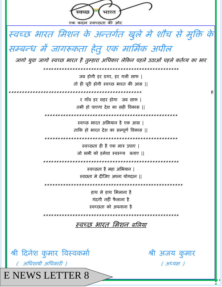

**E NEWS LETTER 8**